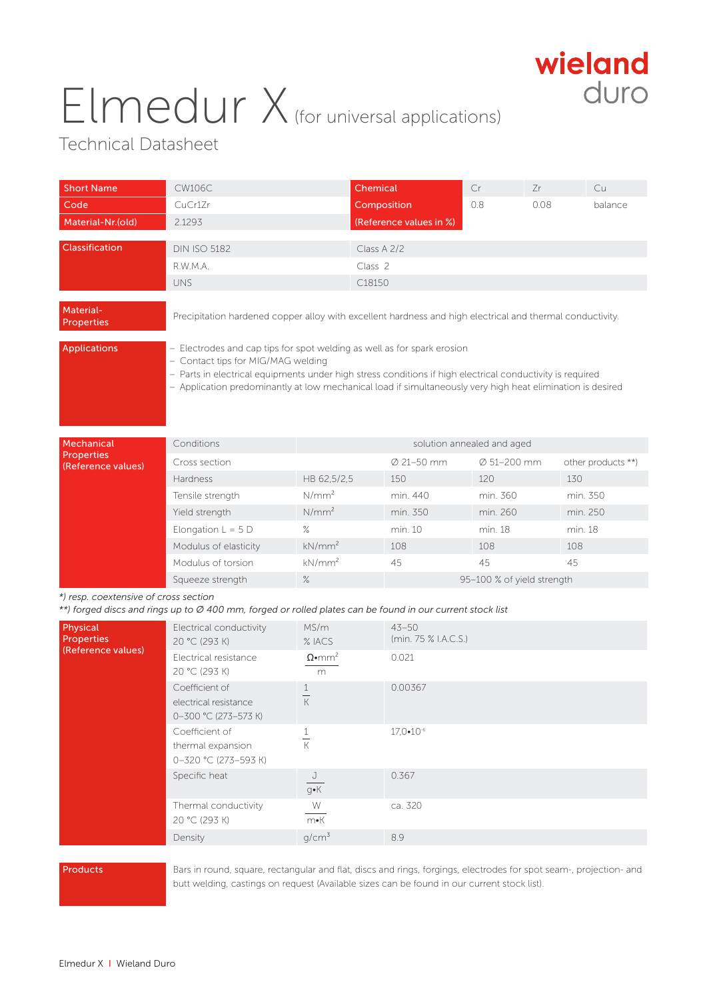## Elmedur X (for universal applications)



## Technical Datasheet

| <b>Short Name</b>                                                                                                                                  | <b>CW106C</b>                                                                                                                                                                                                                                                                                                                            |                            | <b>Chemical</b>         | Cr                         | Zr      | Cu                 |
|----------------------------------------------------------------------------------------------------------------------------------------------------|------------------------------------------------------------------------------------------------------------------------------------------------------------------------------------------------------------------------------------------------------------------------------------------------------------------------------------------|----------------------------|-------------------------|----------------------------|---------|--------------------|
| Code                                                                                                                                               | CuCr1Zr                                                                                                                                                                                                                                                                                                                                  |                            | Composition             | 0.8                        | 0.08    | balance            |
| Material-Nr.(old)                                                                                                                                  | 2.1293                                                                                                                                                                                                                                                                                                                                   |                            | (Reference values in %) |                            |         |                    |
| Classification                                                                                                                                     | <b>DIN ISO 5182</b>                                                                                                                                                                                                                                                                                                                      |                            | Class A 2/2             |                            |         |                    |
|                                                                                                                                                    | R.W.M.A.                                                                                                                                                                                                                                                                                                                                 |                            | Class <sub>2</sub>      |                            |         |                    |
|                                                                                                                                                    | <b>UNS</b>                                                                                                                                                                                                                                                                                                                               |                            | C18150                  |                            |         |                    |
| Material-<br><b>Properties</b>                                                                                                                     | Precipitation hardened copper alloy with excellent hardness and high electrical and thermal conductivity.                                                                                                                                                                                                                                |                            |                         |                            |         |                    |
| <b>Applications</b>                                                                                                                                | - Electrodes and cap tips for spot welding as well as for spark erosion<br>- Contact tips for MIG/MAG welding<br>- Parts in electrical equipments under high stress conditions if high electrical conductivity is required<br>- Application predominantly at low mechanical load if simultaneously very high heat elimination is desired |                            |                         |                            |         |                    |
| Mechanical                                                                                                                                         | Conditions                                                                                                                                                                                                                                                                                                                               | solution annealed and aged |                         |                            |         |                    |
| <b>Properties</b><br>(Reference values)                                                                                                            | Cross section                                                                                                                                                                                                                                                                                                                            |                            | Ø 21-50 mm              | Ø 51-200 mm                |         | other products **) |
|                                                                                                                                                    | Hardness                                                                                                                                                                                                                                                                                                                                 | HB 62,5/2,5                | 150                     | 120                        | 130     |                    |
|                                                                                                                                                    | Tensile strength                                                                                                                                                                                                                                                                                                                         | N/mm <sup>2</sup>          | min. 440                | min. 360                   |         | min. 350           |
|                                                                                                                                                    | Yield strength                                                                                                                                                                                                                                                                                                                           | N/mm <sup>2</sup>          | min. 350                | min. 260                   |         | min. 250           |
|                                                                                                                                                    | Elongation $L = 5 D$                                                                                                                                                                                                                                                                                                                     | $\%$                       | min. 10                 | min. 18                    | min. 18 |                    |
|                                                                                                                                                    | Modulus of elasticity                                                                                                                                                                                                                                                                                                                    | kN/mm <sup>2</sup>         | 108                     | 108                        | 108     |                    |
|                                                                                                                                                    | Modulus of torsion                                                                                                                                                                                                                                                                                                                       | kN/mm <sup>2</sup>         | 45                      | 45                         | 45      |                    |
|                                                                                                                                                    | Squeeze strength                                                                                                                                                                                                                                                                                                                         | $\%$                       |                         | 95-100 % of yield strength |         |                    |
| *) resp. coextensive of cross section<br>**) forged discs and rings up to Ø 400 mm, forged or rolled plates can be found in our current stock list |                                                                                                                                                                                                                                                                                                                                          |                            |                         |                            |         |                    |

| Physical<br><b>Properties</b><br>(Reference values) | Electrical conductivity<br>20 °C (293 K)<br>Electrical resistance<br>20 °C (293 K) | MS/m<br>$%$ IACS<br>$\Omega$ •mm <sup>2</sup><br>m | $43 - 50$<br>(min. 75 % I.A.C.S.)<br>0.021 |
|-----------------------------------------------------|------------------------------------------------------------------------------------|----------------------------------------------------|--------------------------------------------|
|                                                     | Coefficient of<br>electrical resistance<br>0-300 °C (273-573 K)                    | К                                                  | 0.00367                                    |
|                                                     | Coefficient of<br>thermal expansion<br>0-320 °C (273-593 K)                        | К                                                  | 17,0•10-6                                  |
|                                                     | Specific heat                                                                      | J<br>g∙K                                           | 0.367                                      |
|                                                     | Thermal conductivity<br>20 °C (293 K)                                              | W<br>$m\nu K$                                      | ca. 320                                    |
|                                                     | Density                                                                            | $q/cm^3$                                           | 8.9                                        |

**Products** Bars in round, square, rectangular and flat, discs and rings, forgings, electrodes for spot seam-, projection- and butt welding, castings on request (Available sizes can be found in our current stock list).